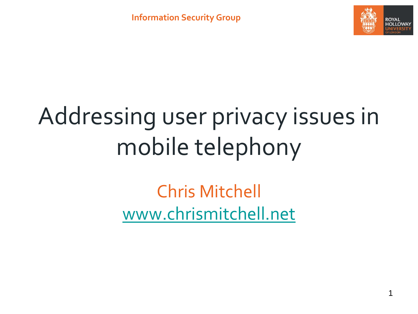

# Addressing user privacy issues in mobile telephony

Chris Mitchell [www.chrismitchell.net](http://www.chrismitchell.net/)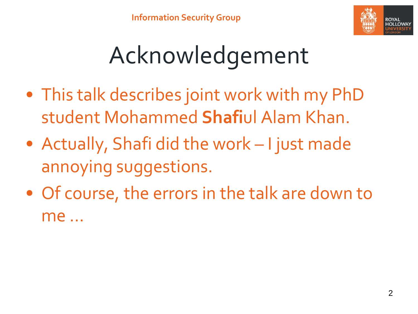

# Acknowledgement

- This talk describes joint work with my PhD student Mohammed **Shafi**ul Alam Khan.
- Actually, Shafi did the work I just made annoying suggestions.
- Of course, the errors in the talk are down to me …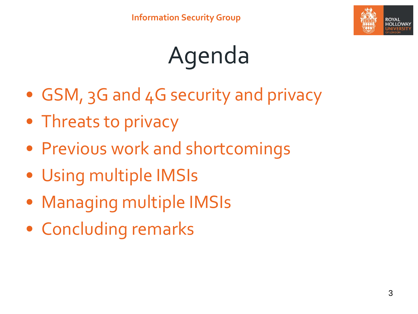

# Agenda

- GSM, 3G and 4G security and privacy
- Threats to privacy
- Previous work and shortcomings
- Using multiple IMSIs
- Managing multiple IMSIs
- Concluding remarks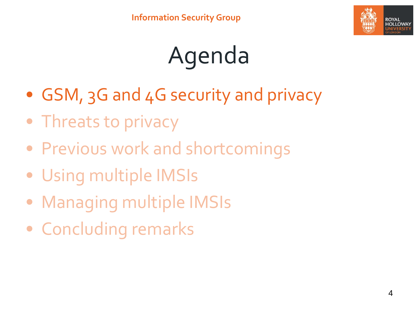

# Agenda

- GSM, 3G and 4G security and privacy
- Threats to privacy
- Previous work and shortcomings
- Using multiple IMSIs
- Managing multiple IMSIs
- Concluding remarks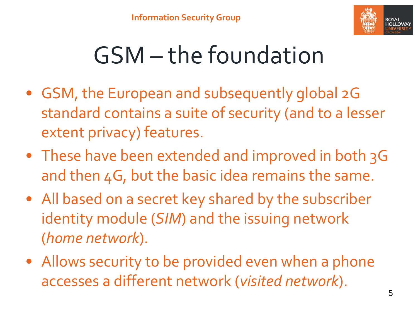

## GSM – the foundation

- GSM, the European and subsequently global 2G standard contains a suite of security (and to a lesser extent privacy) features.
- These have been extended and improved in both 3G and then 4G, but the basic idea remains the same.
- All based on a secret key shared by the subscriber identity module (*SIM*) and the issuing network (*home network*).
- Allows security to be provided even when a phone accesses a different network (*visited network*).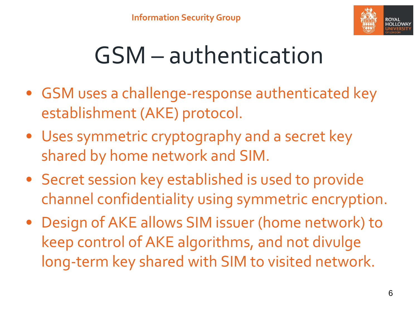

### GSM – authentication

- GSM uses a challenge-response authenticated key establishment (AKE) protocol.
- Uses symmetric cryptography and a secret key shared by home network and SIM.
- Secret session key established is used to provide channel confidentiality using symmetric encryption.
- Design of AKE allows SIM issuer (home network) to keep control of AKE algorithms, and not divulge long-term key shared with SIM to visited network.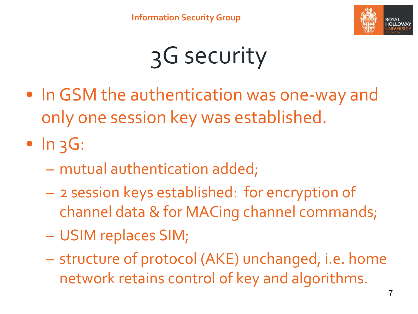

## 3G security

• In GSM the authentication was one-way and only one session key was established.

 $\bullet$  In  $3G$ :

- mutual authentication added;
- 2 session keys established: for encryption of channel data & for MACing channel commands;
- USIM replaces SIM;
- structure of protocol (AKE) unchanged, i.e. home network retains control of key and algorithms.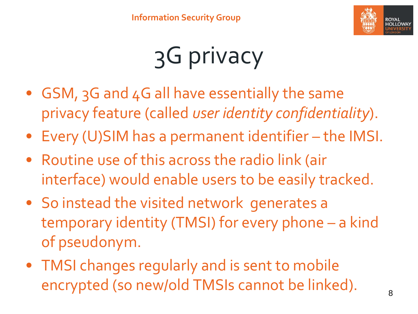

# 3G privacy

- GSM, 3G and 4G all have essentially the same privacy feature (called *user identity confidentiality*).
- Every (U)SIM has a permanent identifier the IMSI.
- Routine use of this across the radio link (air interface) would enable users to be easily tracked.
- So instead the visited network generates a temporary identity (TMSI) for every phone – a kind of pseudonym.
- TMSI changes regularly and is sent to mobile encrypted (so new/old TMSIs cannot be linked).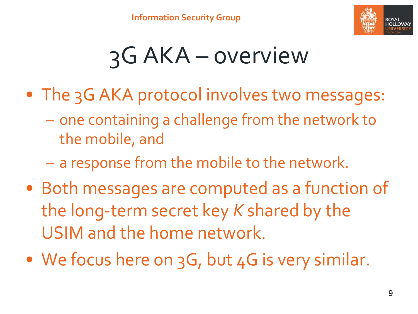

## 3G AKA – overview

- The 3G AKA protocol involves two messages:
	- one containing a challenge from the network to the mobile, and
	- a response from the mobile to the network.
- Both messages are computed as a function of the long-term secret key *K* shared by the USIM and the home network.
- We focus here on 3G, but 4G is very similar.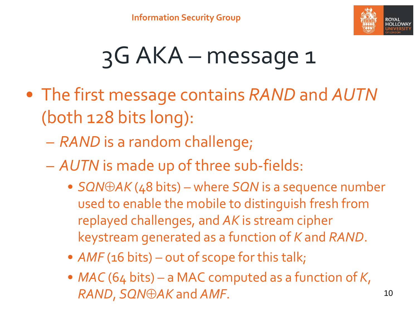

### 3G AKA – message 1

- The first message contains *RAND* and *AUTN* (both 128 bits long):
	- *RAND* is a random challenge;
	- *AUTN* is made up of three sub-fields:
		- *SQN* $\oplus$ *AK* (48 bits) where *SQN* is a sequence number used to enable the mobile to distinguish fresh from replayed challenges, and *AK* is stream cipher keystream generated as a function of *K* and *RAND*.
		- *AMF* (16 bits) out of scope for this talk;
		- *MAC* (64 bits) a MAC computed as a function of *K*, *RAND*, *SQNAK* and *AMF*.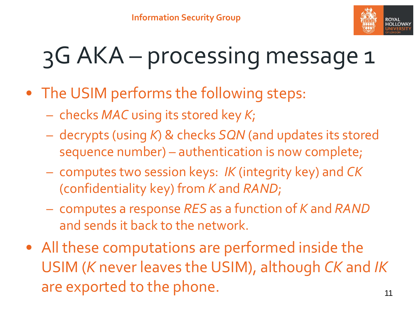

#### 3G AKA – processing message 1

- The USIM performs the following steps:
	- checks *MAC* using its stored key *K*;
	- decrypts (using *K*) & checks *SQN* (and updates its stored sequence number) – authentication is now complete;
	- computes two session keys: *IK* (integrity key) and *CK* (confidentiality key) from *K* and *RAND*;
	- computes a response *RES* as a function of *K* and *RAND* and sends it back to the network.
- All these computations are performed inside the USIM (*K* never leaves the USIM), although *CK* and *IK* are exported to the phone. The same state of  $11$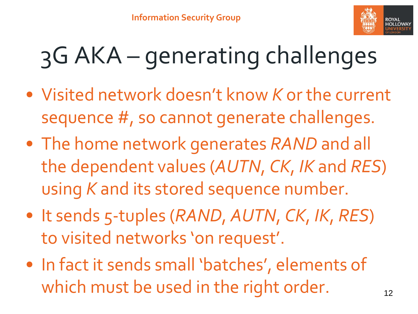

## 3G AKA – generating challenges

- Visited network doesn't know *K* or the current sequence #, so cannot generate challenges.
- The home network generates *RAND* and all the dependent values (*AUTN*, *CK*, *IK* and *RES*) using *K* and its stored sequence number.
- It sends 5-tuples (*RAND*, *AUTN*, *CK*, *IK*, *RES*) to visited networks 'on request'.
- In fact it sends small 'batches', elements of which must be used in the right order.  $12$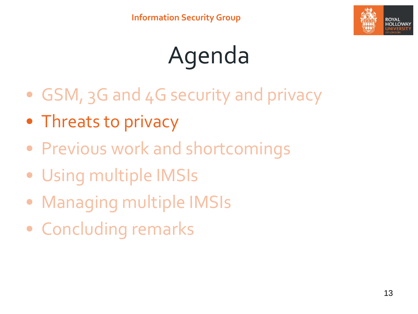

# Agenda

- GSM, 3G and 4G security and privacy
- Threats to privacy
- Previous work and shortcomings
- Using multiple IMSIs
- Managing multiple IMSIs
- Concluding remarks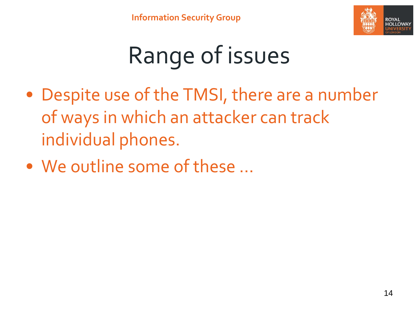

# Range of issues

- Despite use of the TMSI, there are a number of ways in which an attacker can track individual phones.
- We outline some of these …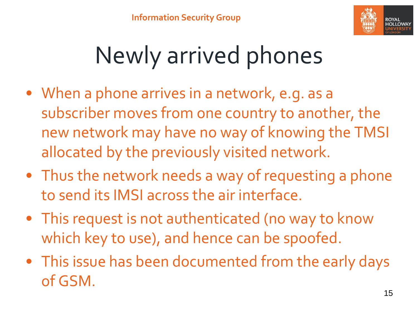

## Newly arrived phones

- When a phone arrives in a network, e.g. as a subscriber moves from one country to another, the new network may have no way of knowing the TMSI allocated by the previously visited network.
- Thus the network needs a way of requesting a phone to send its IMSI across the air interface.
- This request is not authenticated (no way to know which key to use), and hence can be spoofed.
- This issue has been documented from the early days of GSM.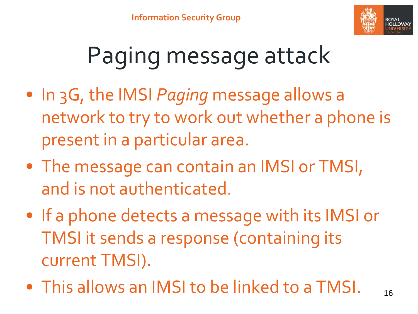

## Paging message attack

- In 3G, the IMSI *Paging* message allows a network to try to work out whether a phone is present in a particular area.
- The message can contain an IMSI or TMSI, and is not authenticated.
- If a phone detects a message with its IMSI or TMSI it sends a response (containing its current TMSI).
- This allows an IMSI to be linked to a TMSI.  $_{16}$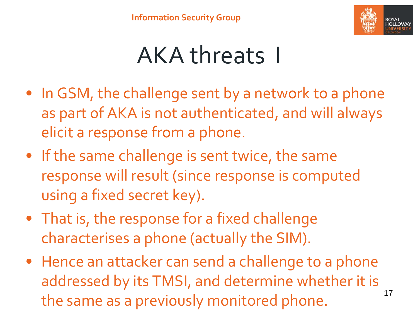

#### AKA threats I

- In GSM, the challenge sent by a network to a phone as part of AKA is not authenticated, and will always elicit a response from a phone.
- If the same challenge is sent twice, the same response will result (since response is computed using a fixed secret key).
- That is, the response for a fixed challenge characterises a phone (actually the SIM).
- Hence an attacker can send a challenge to a phone addressed by its TMSI, and determine whether it is the same as a previously monitored phone.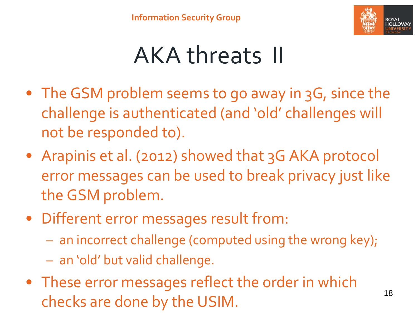

#### AKA threats II

- The GSM problem seems to go away in 3G, since the challenge is authenticated (and 'old' challenges will not be responded to).
- Arapinis et al. (2012) showed that 3G AKA protocol error messages can be used to break privacy just like the GSM problem.
- Different error messages result from:
	- an incorrect challenge (computed using the wrong key);
	- an 'old' but valid challenge.
- These error messages reflect the order in which checks are done by the USIM.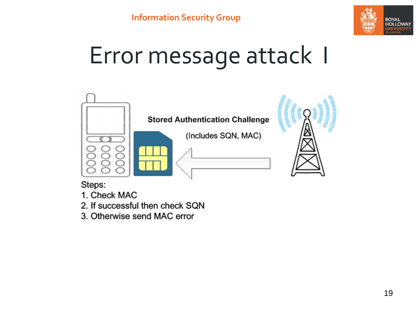

#### Error message attack I



#### Steps:

- 1. Check MAC
- 2. If successful then check SQN
- 3. Otherwise send MAC error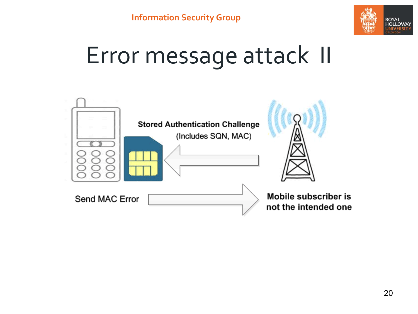

#### Error message attack II

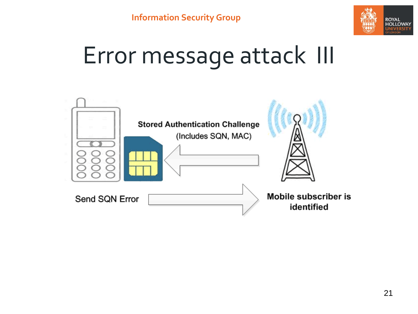

#### Error message attack III

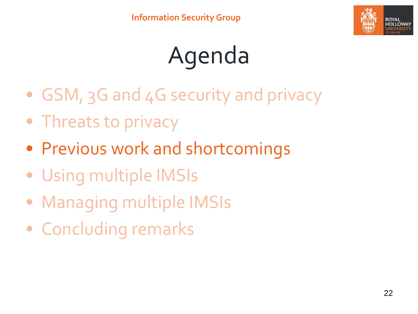

# Agenda

- GSM, 3G and 4G security and privacy
- Threats to privacy
- Previous work and shortcomings
- Using multiple IMSIs
- Managing multiple IMSIs
- Concluding remarks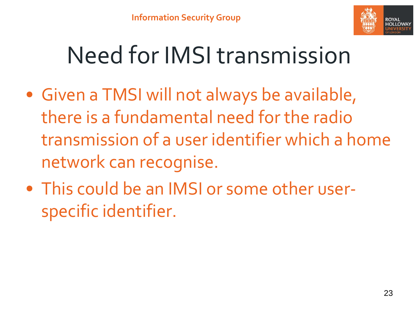

#### Need for IMSI transmission

- Given a TMSI will not always be available, there is a fundamental need for the radio transmission of a user identifier which a home network can recognise.
- This could be an IMSI or some other userspecific identifier.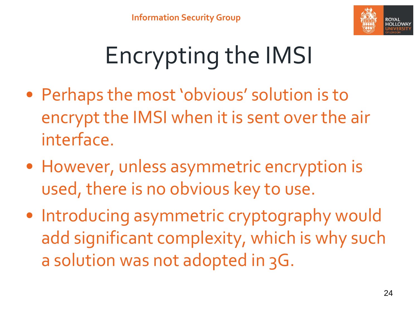

# Encrypting the IMSI

- Perhaps the most 'obvious' solution is to encrypt the IMSI when it is sent over the air interface.
- However, unless asymmetric encryption is used, there is no obvious key to use.
- Introducing asymmetric cryptography would add significant complexity, which is why such a solution was not adopted in 3G.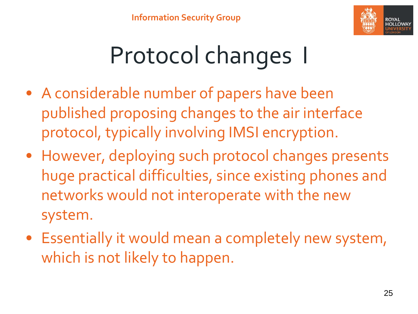

## Protocol changes I

- A considerable number of papers have been published proposing changes to the air interface protocol, typically involving IMSI encryption.
- However, deploying such protocol changes presents huge practical difficulties, since existing phones and networks would not interoperate with the new system.
- Essentially it would mean a completely new system, which is not likely to happen.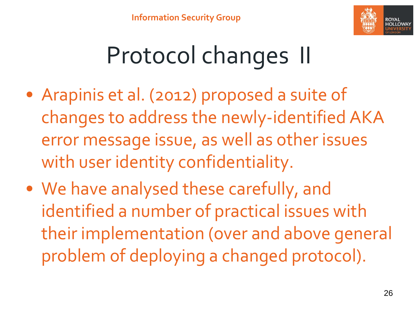

## Protocol changes II

- Arapinis et al. (2012) proposed a suite of changes to address the newly-identified AKA error message issue, as well as other issues with user identity confidentiality.
- We have analysed these carefully, and identified a number of practical issues with their implementation (over and above general problem of deploying a changed protocol).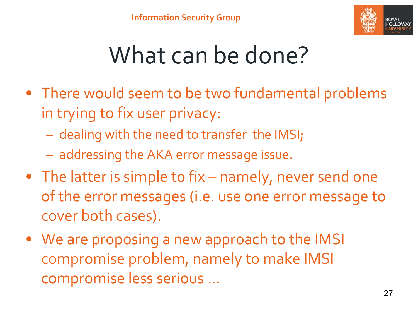

#### What can be done?

- There would seem to be two fundamental problems in trying to fix user privacy:
	- dealing with the need to transfer the IMSI;
	- addressing the AKA error message issue.
- The latter is simple to fix namely, never send one of the error messages (i.e. use one error message to cover both cases).
- We are proposing a new approach to the IMSI compromise problem, namely to make IMSI compromise less serious …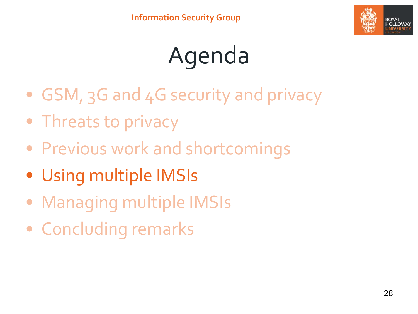

# Agenda

- GSM, 3G and 4G security and privacy
- Threats to privacy
- Previous work and shortcomings
- Using multiple IMSIs
- Managing multiple IMSIs
- Concluding remarks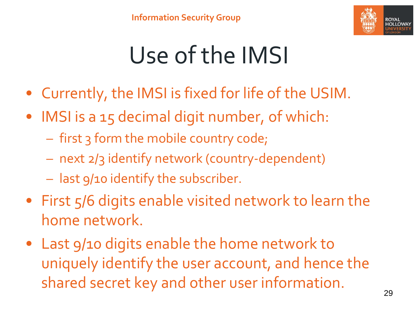

## Use of the IMSI

- Currently, the IMSI is fixed for life of the USIM.
- IMSI is a 15 decimal digit number, of which:
	- first 3 form the mobile country code;
	- next 2/3 identify network (country-dependent)
	- last 9/10 identify the subscriber.
- First 5/6 digits enable visited network to learn the home network.
- Last 9/10 digits enable the home network to uniquely identify the user account, and hence the shared secret key and other user information.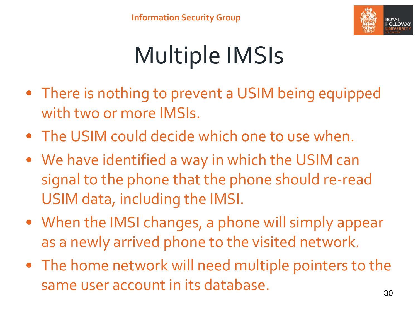

## Multiple IMSIs

- There is nothing to prevent a USIM being equipped with two or more IMSIs.
- The USIM could decide which one to use when.
- We have identified a way in which the USIM can signal to the phone that the phone should re-read USIM data, including the IMSI.
- When the IMSI changes, a phone will simply appear as a newly arrived phone to the visited network.
- The home network will need multiple pointers to the same user account in its database.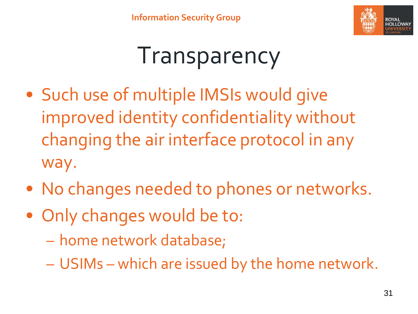

#### Transparency

- Such use of multiple IMSIs would give improved identity confidentiality without changing the air interface protocol in any way.
- No changes needed to phones or networks.
- Only changes would be to:
	- home network database;
	- USIMs which are issued by the home network.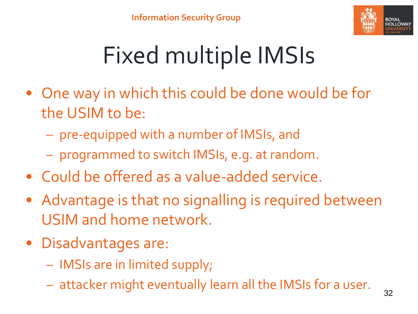

# Fixed multiple IMSIs

- One way in which this could be done would be for the USIM to be:
	- pre-equipped with a number of IMSIs, and
	- programmed to switch IMSIs, e.g. at random.
- Could be offered as a value-added service.
- Advantage is that no signalling is required between USIM and home network.
- Disadvantages are:
	- IMSIs are in limited supply;
	- attacker might eventually learn all the IMSIs for a user.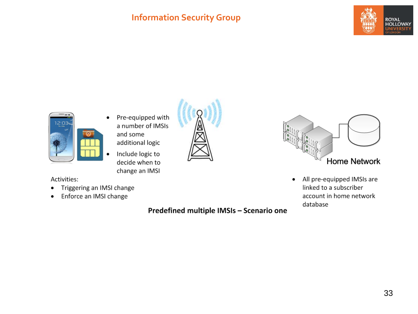#### **Information Security Group**





- Pre-equipped with  $\bullet$ a number of IMSIs and some additional logic
	- Include logic to decide when to change an IMSI

Activities:

- Triggering an IMSI change  $\bullet$
- Enforce an IMSI change  $\bullet$

Predefined multiple IMSIs - Scenario one



All pre-equipped IMSIs are  $\bullet$ linked to a subscriber account in home network database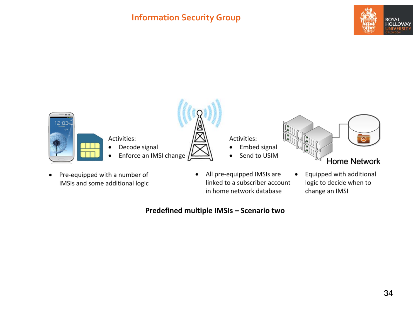#### **Information Security Group**





IMSIs and some additional logic

- linked to a subscriber account in home network database
- logic to decide when to change an IMSI

#### Predefined multiple IMSIs - Scenario two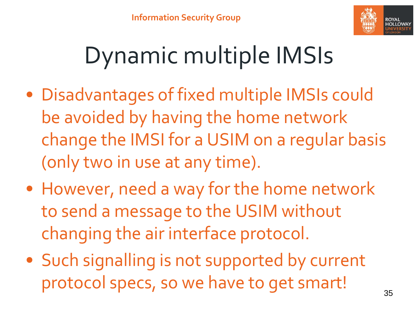

## Dynamic multiple IMSIs

- Disadvantages of fixed multiple IMSIs could be avoided by having the home network change the IMSI for a USIM on a regular basis (only two in use at any time).
- However, need a way for the home network to send a message to the USIM without changing the air interface protocol.
- Such signalling is not supported by current protocol specs, so we have to get smart!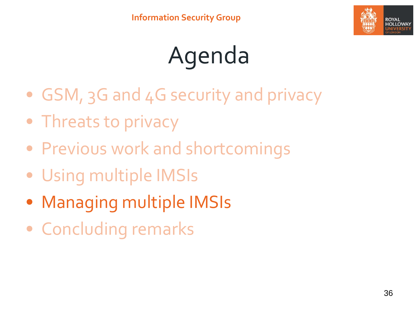

# Agenda

- GSM, 3G and 4G security and privacy
- Threats to privacy
- Previous work and shortcomings
- Using multiple IMSIs
- Managing multiple IMSIs
- Concluding remarks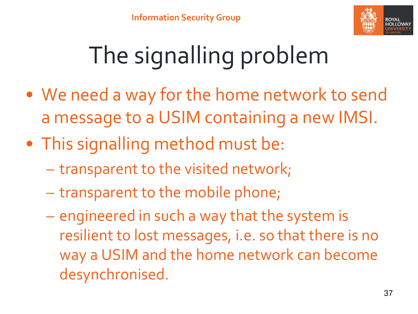

# The signalling problem

- We need a way for the home network to send a message to a USIM containing a new IMSI.
- This signalling method must be:
	- transparent to the visited network;
	- transparent to the mobile phone;
	- engineered in such a way that the system is resilient to lost messages, i.e. so that there is no way a USIM and the home network can become desynchronised.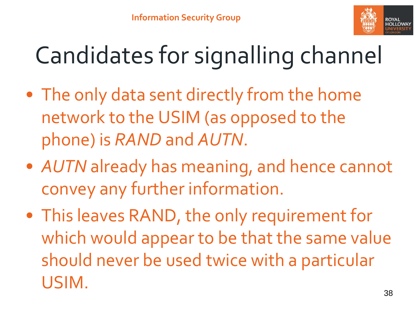

# Candidates for signalling channel

- The only data sent directly from the home network to the USIM (as opposed to the phone) is *RAND* and *AUTN*.
- *AUTN* already has meaning, and hence cannot convey any further information.
- This leaves RAND, the only requirement for which would appear to be that the same value should never be used twice with a particular USIM.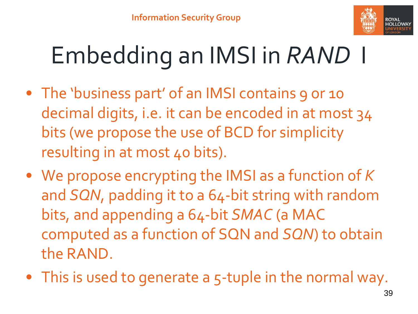

# Embedding an IMSI in *RAND* I

- The 'business part' of an IMSI contains 9 or 10 decimal digits, i.e. it can be encoded in at most 34 bits (we propose the use of BCD for simplicity resulting in at most 40 bits).
- We propose encrypting the IMSI as a function of *K* and *SQN*, padding it to a 64-bit string with random bits, and appending a 64-bit *SMAC* (a MAC computed as a function of SQN and *SQN*) to obtain the RAND.
- This is used to generate a 5-tuple in the normal way.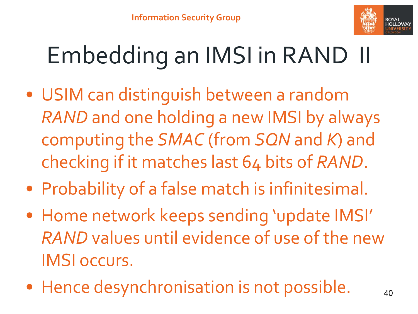

# Embedding an IMSI in RAND II

- USIM can distinguish between a random *RAND* and one holding a new IMSI by always computing the *SMAC* (from *SQN* and *K*) and checking if it matches last 64 bits of *RAND*.
- Probability of a false match is infinitesimal.
- Home network keeps sending 'update IMSI' *RAND* values until evidence of use of the new IMSI occurs.
- Hence desynchronisation is not possible. 40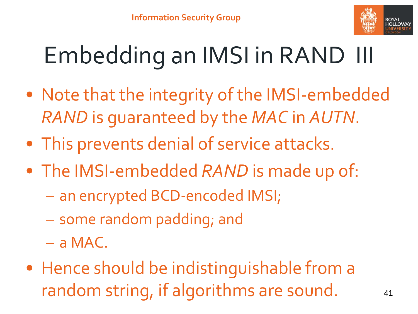

# Embedding an IMSI in RAND III

- Note that the integrity of the IMSI-embedded *RAND* is guaranteed by the *MAC* in *AUTN*.
- This prevents denial of service attacks.
- The IMSI-embedded *RAND* is made up of:
	- an encrypted BCD-encoded IMSI;
	- some random padding; and
	- a MAC.
- Hence should be indistinguishable from a random string, if algorithms are sound. 41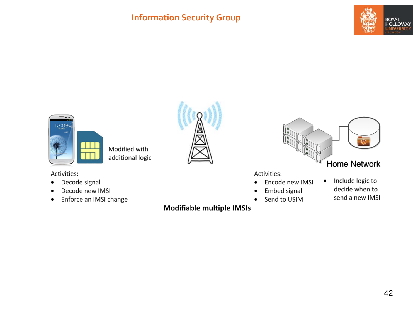#### **Information Security Group**





Modified with additional logic

Activities:

- Decode signal  $\bullet$
- Decode new IMSI  $\bullet$
- Enforce an IMSI change  $\bullet$





Activities:

- Encode new IMSI  $\bullet$
- Embed signal ٠
- Send to USIM  $\bullet$
- Include logic to  $\bullet$ decide when to send a new IMSI

Modifiable multiple IMSIs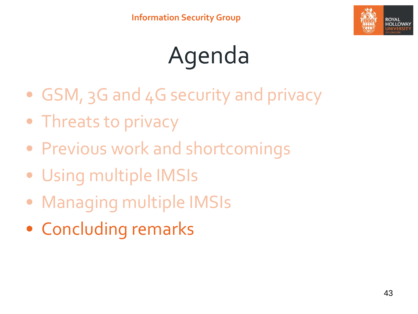

# Agenda

- GSM, 3G and 4G security and privacy
- Threats to privacy
- Previous work and shortcomings
- Using multiple IMSIs
- Managing multiple IMSIs
- Concluding remarks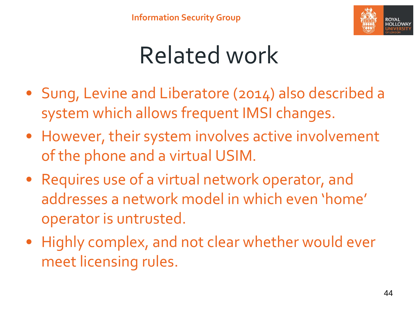

### Related work

- Sung, Levine and Liberatore (2014) also described a system which allows frequent IMSI changes.
- However, their system involves active involvement of the phone and a virtual USIM.
- Requires use of a virtual network operator, and addresses a network model in which even 'home' operator is untrusted.
- Highly complex, and not clear whether would ever meet licensing rules.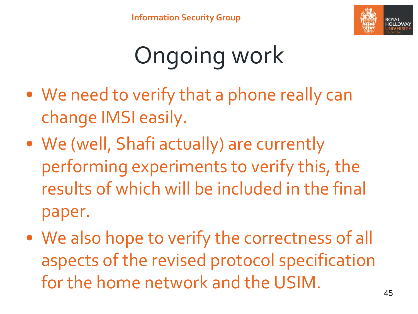

# Ongoing work

- We need to verify that a phone really can change IMSI easily.
- We (well, Shafi actually) are currently performing experiments to verify this, the results of which will be included in the final paper.
- We also hope to verify the correctness of all aspects of the revised protocol specification for the home network and the USIM.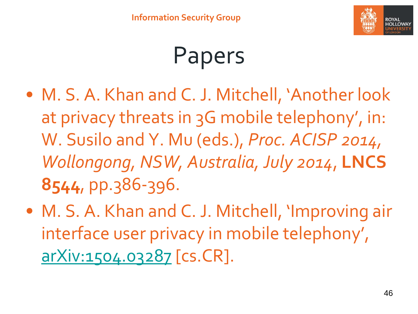

## Papers

- M. S. A. Khan and C. J. Mitchell, 'Another look at privacy threats in 3G mobile telephony', in: W. Susilo and Y. Mu (eds.), *Proc. ACISP 2014, Wollongong, NSW, Australia, July 2014*, **LNCS 8544**, pp.386-396.
- M. S. A. Khan and C. J. Mitchell, 'Improving air interface user privacy in mobile telephony', [arXiv:1504.03287](http://arxiv.org/abs/1504.03287) [cs.CR].